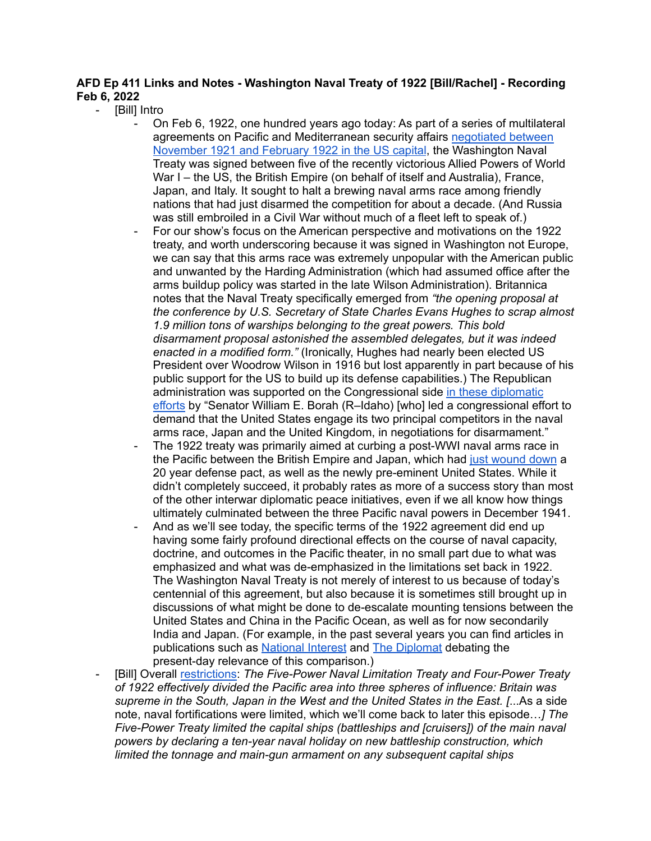## **AFD Ep 411 Links and Notes - Washington Naval Treaty of 1922 [Bill/Rachel] - Recording Feb 6, 2022**

## [Bill] Intro

- On Feb 6, 1922, one hundred years ago today: As part of a series of multilateral agreements on Pacific and Mediterranean security affairs [negotiated](https://www.britannica.com/event/Washington-Conference-1921-1922) between [November](https://www.britannica.com/event/Washington-Conference-1921-1922) 1921 and February 1922 in the US capital, the Washington Naval Treaty was signed between five of the recently victorious Allied Powers of World War I – the US, the British Empire (on behalf of itself and Australia), France, Japan, and Italy. It sought to halt a brewing naval arms race among friendly nations that had just disarmed the competition for about a decade. (And Russia was still embroiled in a Civil War without much of a fleet left to speak of.)
- For our show's focus on the American perspective and motivations on the 1922 treaty, and worth underscoring because it was signed in Washington not Europe, we can say that this arms race was extremely unpopular with the American public and unwanted by the Harding Administration (which had assumed office after the arms buildup policy was started in the late Wilson Administration). Britannica notes that the Naval Treaty specifically emerged from *"the opening proposal at the conference by U.S. Secretary of State Charles Evans Hughes to scrap almost 1.9 million tons of warships belonging to the great powers. This bold disarmament proposal astonished the assembled delegates, but it was indeed enacted in a modified form."* (Ironically, Hughes had nearly been elected US President over Woodrow Wilson in 1916 but lost apparently in part because of his public support for the US to build up its defense capabilities.) The Republican administration was supported on the Congressional side in these [diplomatic](https://history.state.gov/milestones/1921-1936/naval-conference) [efforts](https://history.state.gov/milestones/1921-1936/naval-conference) by "Senator William E. Borah (R–Idaho) [who] led a congressional effort to demand that the United States engage its two principal competitors in the naval arms race, Japan and the United Kingdom, in negotiations for disarmament."
- The 1922 treaty was primarily aimed at curbing a post-WWI naval arms race in the Pacific between the British Empire and Japan, which had just [wound](https://en.wikipedia.org/wiki/Anglo-Japanese_Alliance#End_of_the_treaty) down a 20 year defense pact, as well as the newly pre-eminent United States. While it didn't completely succeed, it probably rates as more of a success story than most of the other interwar diplomatic peace initiatives, even if we all know how things ultimately culminated between the three Pacific naval powers in December 1941.
- And as we'll see today, the specific terms of the 1922 agreement did end up having some fairly profound directional effects on the course of naval capacity, doctrine, and outcomes in the Pacific theater, in no small part due to what was emphasized and what was de-emphasized in the limitations set back in 1922. The Washington Naval Treaty is not merely of interest to us because of today's centennial of this agreement, but also because it is sometimes still brought up in discussions of what might be done to de-escalate mounting tensions between the United States and China in the Pacific Ocean, as well as for now secondarily India and Japan. (For example, in the past several years you can find articles in publications such as [National](http://nationalinterest.org/feature/new-washington-naval-conference-could-prevent-deadly-south-19757) Interest and The [Diplomat](https://thediplomat.com/2017/03/will-a-new-washington-naval-treaty-stop-the-south-china-sea-arms-race/) debating the present-day relevance of this comparison.)
- [Bill] Overall [restrictions:](https://nationalinterest.org/feature/new-washington-naval-conference-could-prevent-deadly-south-19757) *The Five-Power Naval Limitation Treaty and Four-Power Treaty of 1922 effectively divided the Pacific area into three spheres of influence: Britain was supreme in the South, Japan in the West and the United States in the East. [*...As a side note, naval fortifications were limited, which we'll come back to later this episode…*] The Five-Power Treaty limited the capital ships (battleships and [cruisers]) of the main naval powers by declaring a ten-year naval holiday on new battleship construction, which limited the tonnage and main-gun armament on any subsequent capital ships*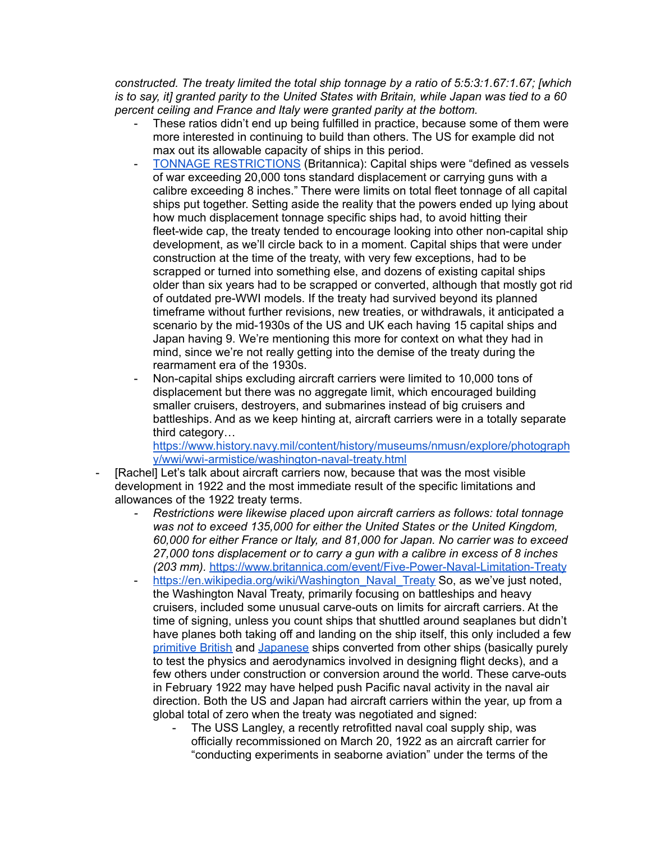*constructed. The treaty limited the total ship tonnage by a ratio of 5:5:3:1.67:1.67; [which* is to say, it] granted parity to the United States with Britain, while Japan was tied to a 60 *percent ceiling and France and Italy were granted parity at the bottom.*

- These ratios didn't end up being fulfilled in practice, because some of them were more interested in continuing to build than others. The US for example did not max out its allowable capacity of ships in this period.
- TONNAGE [RESTRICTIONS](https://www.britannica.com/event/Five-Power-Naval-Limitation-Treaty) (Britannica): Capital ships were "defined as vessels of war exceeding 20,000 tons standard displacement or carrying guns with a calibre exceeding 8 inches." There were limits on total fleet tonnage of all capital ships put together. Setting aside the reality that the powers ended up lying about how much displacement tonnage specific ships had, to avoid hitting their fleet-wide cap, the treaty tended to encourage looking into other non-capital ship development, as we'll circle back to in a moment. Capital ships that were under construction at the time of the treaty, with very few exceptions, had to be scrapped or turned into something else, and dozens of existing capital ships older than six years had to be scrapped or converted, although that mostly got rid of outdated pre-WWI models. If the treaty had survived beyond its planned timeframe without further revisions, new treaties, or withdrawals, it anticipated a scenario by the mid-1930s of the US and UK each having 15 capital ships and Japan having 9. We're mentioning this more for context on what they had in mind, since we're not really getting into the demise of the treaty during the rearmament era of the 1930s.
- Non-capital ships excluding aircraft carriers were limited to 10,000 tons of displacement but there was no aggregate limit, which encouraged building smaller cruisers, destroyers, and submarines instead of big cruisers and battleships. And as we keep hinting at, aircraft carriers were in a totally separate third category…

[https://www.history.navy.mil/content/history/museums/nmusn/explore/photograph](https://www.history.navy.mil/content/history/museums/nmusn/explore/photography/wwi/wwi-armistice/washington-naval-treaty.html) [y/wwi/wwi-armistice/washington-naval-treaty.html](https://www.history.navy.mil/content/history/museums/nmusn/explore/photography/wwi/wwi-armistice/washington-naval-treaty.html)

- [Rachel] Let's talk about aircraft carriers now, because that was the most visible development in 1922 and the most immediate result of the specific limitations and allowances of the 1922 treaty terms.
	- *- Restrictions were likewise placed upon aircraft carriers as follows: total tonnage was not to exceed 135,000 for either the United States or the United Kingdom, 60,000 for either France or Italy, and 81,000 for Japan. No carrier was to exceed 27,000 tons displacement or to carry a gun with a calibre in excess of 8 inches (203 mm).* <https://www.britannica.com/event/Five-Power-Naval-Limitation-Treaty>
	- [https://en.wikipedia.org/wiki/Washington\\_Naval\\_Treaty](https://en.wikipedia.org/wiki/Washington_Naval_Treaty) So, as we've just noted. the Washington Naval Treaty, primarily focusing on battleships and heavy cruisers, included some unusual carve-outs on limits for aircraft carriers. At the time of signing, unless you count ships that shuttled around seaplanes but didn't have planes both taking off and landing on the ship itself, this only included a few [primitive](https://en.wikipedia.org/wiki/HMS_Argus_(I49)) British and [Japanese](https://en.wikipedia.org/wiki/Japanese_seaplane_carrier_Wakamiya) ships converted from other ships (basically purely to test the physics and aerodynamics involved in designing flight decks), and a few others under construction or conversion around the world. These carve-outs in February 1922 may have helped push Pacific naval activity in the naval air direction. Both the US and Japan had aircraft carriers within the year, up from a global total of zero when the treaty was negotiated and signed:
		- The USS Langley, a recently retrofitted naval coal supply ship, was officially recommissioned on March 20, 1922 as an aircraft carrier for "conducting experiments in seaborne aviation" under the terms of the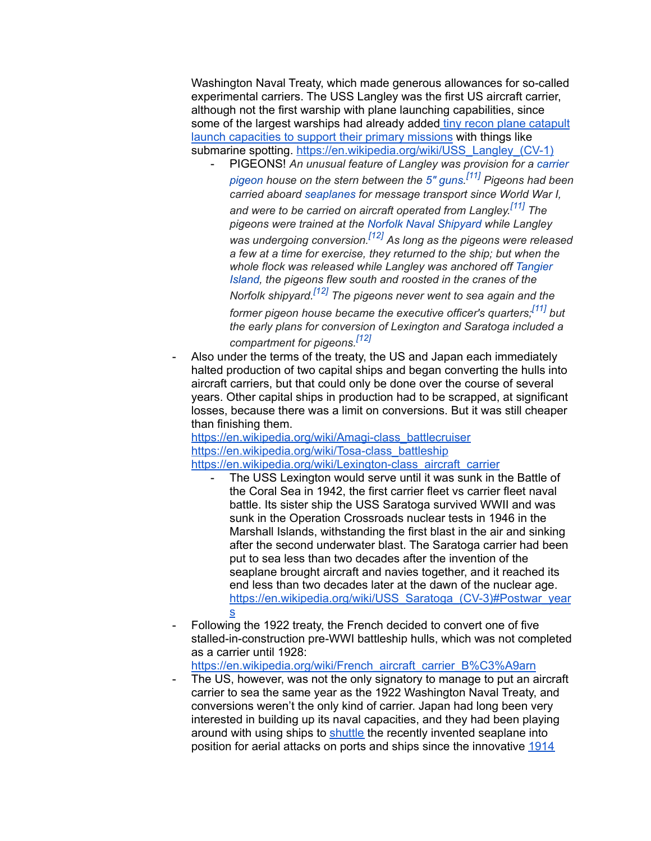Washington Naval Treaty, which made generous allowances for so-called experimental carriers. The USS Langley was the first US aircraft carrier, although not the first warship with plane launching capabilities, since some of the largest warships had already added tiny recon plane [catapult](https://en.wikipedia.org/wiki/Observation_seaplane) launch [capacities](https://en.wikipedia.org/wiki/Observation_seaplane) to support their primary missions with things like submarine spotting. [https://en.wikipedia.org/wiki/USS\\_Langley\\_\(CV-1\)](https://en.wikipedia.org/wiki/USS_Langley_(CV-1))

- PIGEONS! *An unusual feature of Langley was provision for a [carrier](https://en.wikipedia.org/wiki/Carrier_pigeon) [pigeon](https://en.wikipedia.org/wiki/Carrier_pigeon) house on the stern between the [5" guns.](https://en.wikipedia.org/wiki/5%22/51_caliber_gun) [\[11\]](https://en.wikipedia.org/wiki/USS_Langley_(CV-1)#cite_note-p65-11) Pigeons had been carried aboard [seaplanes](https://en.wikipedia.org/wiki/Seaplane) for message transport since World War I, and were to be carried on aircraft operated from Langley. [\[11\]](https://en.wikipedia.org/wiki/USS_Langley_(CV-1)#cite_note-p65-11) The pigeons were trained at the [Norfolk Naval Shipyard](https://en.wikipedia.org/wiki/Norfolk_Naval_Shipyard) while Langley was undergoing conversion.[\[12\]](https://en.wikipedia.org/wiki/USS_Langley_(CV-1)#cite_note-proceedings-12) As long as the pigeons were released a few at a time for exercise, they returned to the ship; but when the whole flock was released while Langley was anchored off [Tangier](https://en.wikipedia.org/wiki/Tangier_Island) [Island](https://en.wikipedia.org/wiki/Tangier_Island), the pigeons flew south and roosted in the cranes of the Norfolk shipyard.[\[12\]](https://en.wikipedia.org/wiki/USS_Langley_(CV-1)#cite_note-proceedings-12) The pigeons never went to sea again and the former pigeon house became the executive officer's quarters;[\[11\]](https://en.wikipedia.org/wiki/USS_Langley_(CV-1)#cite_note-p65-11) but the early plans for conversion of Lexington and Saratoga included a compartment for pigeons.[\[12\]](https://en.wikipedia.org/wiki/USS_Langley_(CV-1)#cite_note-proceedings-12)*
- Also under the terms of the treaty, the US and Japan each immediately halted production of two capital ships and began converting the hulls into aircraft carriers, but that could only be done over the course of several years. Other capital ships in production had to be scrapped, at significant losses, because there was a limit on conversions. But it was still cheaper than finishing them.

[https://en.wikipedia.org/wiki/Amagi-class\\_battlecruiser](https://en.wikipedia.org/wiki/Amagi-class_battlecruiser) [https://en.wikipedia.org/wiki/Tosa-class\\_battleship](https://en.wikipedia.org/wiki/Tosa-class_battleship) [https://en.wikipedia.org/wiki/Lexington-class\\_aircraft\\_carrier](https://en.wikipedia.org/wiki/Lexington-class_aircraft_carrier)

- The USS Lexington would serve until it was sunk in the Battle of the Coral Sea in 1942, the first carrier fleet vs carrier fleet naval battle. Its sister ship the USS Saratoga survived WWII and was sunk in the Operation Crossroads nuclear tests in 1946 in the Marshall Islands, withstanding the first blast in the air and sinking after the second underwater blast. The Saratoga carrier had been put to sea less than two decades after the invention of the seaplane brought aircraft and navies together, and it reached its end less than two decades later at the dawn of the nuclear age. [https://en.wikipedia.org/wiki/USS\\_Saratoga\\_\(CV-3\)#Postwar\\_year](https://en.wikipedia.org/wiki/USS_Saratoga_(CV-3)#Postwar_years) [s](https://en.wikipedia.org/wiki/USS_Saratoga_(CV-3)#Postwar_years)
- Following the 1922 treaty, the French decided to convert one of five stalled-in-construction pre-WWI battleship hulls, which was not completed as a carrier until 1928:

[https://en.wikipedia.org/wiki/French\\_aircraft\\_carrier\\_B%C3%A9arn](https://en.wikipedia.org/wiki/French_aircraft_carrier_B%C3%A9arn)

The US, however, was not the only signatory to manage to put an aircraft carrier to sea the same year as the 1922 Washington Naval Treaty, and conversions weren't the only kind of carrier. Japan had long been very interested in building up its naval capacities, and they had been playing around with using ships to [shuttle](https://en.wikipedia.org/wiki/Seaplane_tender) the recently invented seaplane into position for aerial attacks on ports and ships since the innovative [1914](https://en.wikipedia.org/wiki/Japanese_seaplane_carrier_Wakamiya)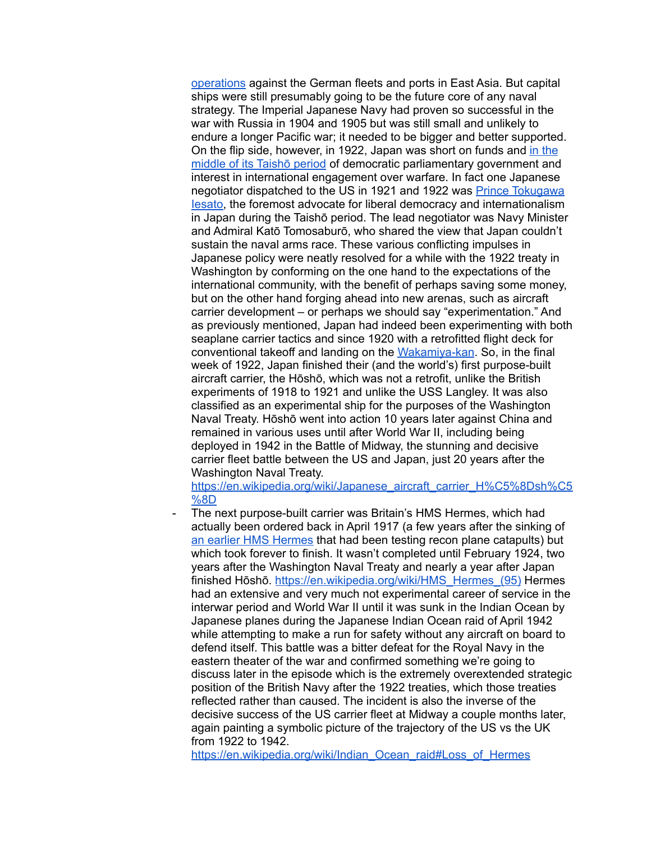[operations](https://en.wikipedia.org/wiki/Japanese_seaplane_carrier_Wakamiya) against the German fleets and ports in East Asia. But capital ships were still presumably going to be the future core of any naval strategy. The Imperial Japanese Navy had proven so successful in the war with Russia in 1904 and 1905 but was still small and unlikely to endure a longer Pacific war; it needed to be bigger and better supported. On the flip side, however, in 1922, Japan was short on funds and in [the](https://en.wikipedia.org/wiki/Taish%C5%8D#Taish%C5%8D_foreign_policy) [middle](https://en.wikipedia.org/wiki/Taish%C5%8D#Taish%C5%8D_foreign_policy) of its Taishō period of democratic parliamentary government and interest in international engagement over warfare. In fact one Japanese negotiator dispatched to the US in 1921 and 1922 was Prince [Tokugawa](https://en.wikipedia.org/wiki/Tokugawa_Iesato#Career_and_legacy) [Iesato,](https://en.wikipedia.org/wiki/Tokugawa_Iesato#Career_and_legacy) the foremost advocate for liberal democracy and internationalism in Japan during the Taishō period. The lead negotiator was Navy Minister and Admiral Katō Tomosaburō, who shared the view that Japan couldn't sustain the naval arms race. These various conflicting impulses in Japanese policy were neatly resolved for a while with the 1922 treaty in Washington by conforming on the one hand to the expectations of the international community, with the benefit of perhaps saving some money, but on the other hand forging ahead into new arenas, such as aircraft carrier development – or perhaps we should say "experimentation." And as previously mentioned, Japan had indeed been experimenting with both seaplane carrier tactics and since 1920 with a retrofitted flight deck for conventional takeoff and landing on the [Wakamiya-kan](https://en.wikipedia.org/wiki/Japanese_seaplane_carrier_Wakamiya). So, in the final week of 1922, Japan finished their (and the world's) first purpose-built aircraft carrier, the Hōshō, which was not a retrofit, unlike the British experiments of 1918 to 1921 and unlike the USS Langley. It was also classified as an experimental ship for the purposes of the Washington Naval Treaty. Hōshō went into action 10 years later against China and remained in various uses until after World War II, including being deployed in 1942 in the Battle of Midway, the stunning and decisive carrier fleet battle between the US and Japan, just 20 years after the Washington Naval Treaty.

[https://en.wikipedia.org/wiki/Japanese\\_aircraft\\_carrier\\_H%C5%8Dsh%C5](https://en.wikipedia.org/wiki/Japanese_aircraft_carrier_H%C5%8Dsh%C5%8D) [%8D](https://en.wikipedia.org/wiki/Japanese_aircraft_carrier_H%C5%8Dsh%C5%8D)

The next purpose-built carrier was Britain's HMS Hermes, which had actually been ordered back in April 1917 (a few years after the sinking of an earlier HMS [Hermes](https://en.wikipedia.org/wiki/HMS_Hermes_(1898)) that had been testing recon plane catapults) but which took forever to finish. It wasn't completed until February 1924, two years after the Washington Naval Treaty and nearly a year after Japan finished Hōshō. [https://en.wikipedia.org/wiki/HMS\\_Hermes\\_\(95\)](https://en.wikipedia.org/wiki/HMS_Hermes_(95)) Hermes had an extensive and very much not experimental career of service in the interwar period and World War II until it was sunk in the Indian Ocean by Japanese planes during the Japanese Indian Ocean raid of April 1942 while attempting to make a run for safety without any aircraft on board to defend itself. This battle was a bitter defeat for the Royal Navy in the eastern theater of the war and confirmed something we're going to discuss later in the episode which is the extremely overextended strategic position of the British Navy after the 1922 treaties, which those treaties reflected rather than caused. The incident is also the inverse of the decisive success of the US carrier fleet at Midway a couple months later, again painting a symbolic picture of the trajectory of the US vs the UK from 1922 to 1942.

[https://en.wikipedia.org/wiki/Indian\\_Ocean\\_raid#Loss\\_of\\_Hermes](https://en.wikipedia.org/wiki/Indian_Ocean_raid#Loss_of_Hermes)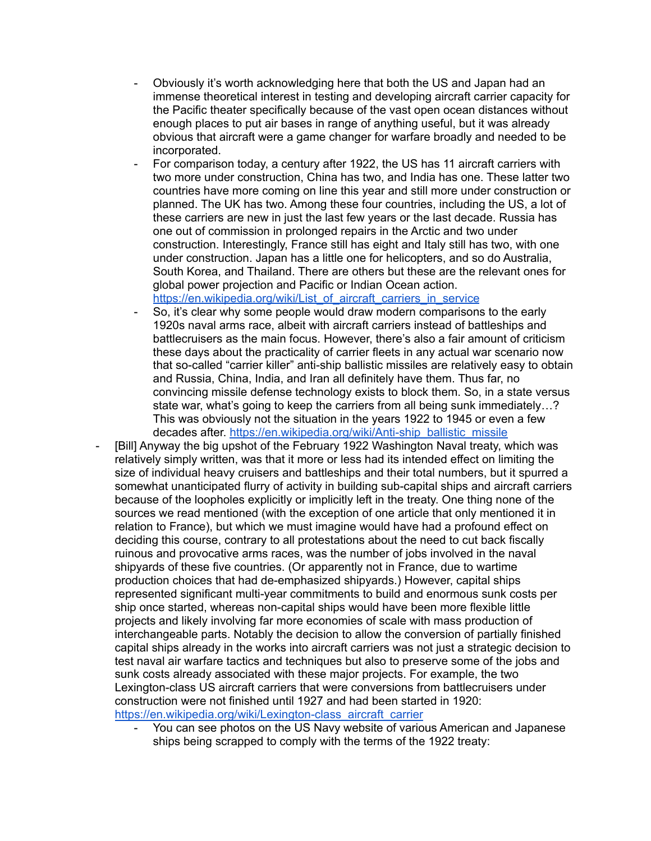- Obviously it's worth acknowledging here that both the US and Japan had an immense theoretical interest in testing and developing aircraft carrier capacity for the Pacific theater specifically because of the vast open ocean distances without enough places to put air bases in range of anything useful, but it was already obvious that aircraft were a game changer for warfare broadly and needed to be incorporated.
- For comparison today, a century after 1922, the US has 11 aircraft carriers with two more under construction, China has two, and India has one. These latter two countries have more coming on line this year and still more under construction or planned. The UK has two. Among these four countries, including the US, a lot of these carriers are new in just the last few years or the last decade. Russia has one out of commission in prolonged repairs in the Arctic and two under construction. Interestingly, France still has eight and Italy still has two, with one under construction. Japan has a little one for helicopters, and so do Australia, South Korea, and Thailand. There are others but these are the relevant ones for global power projection and Pacific or Indian Ocean action. [https://en.wikipedia.org/wiki/List\\_of\\_aircraft\\_carriers\\_in\\_service](https://en.wikipedia.org/wiki/List_of_aircraft_carriers_in_service)
- So, it's clear why some people would draw modern comparisons to the early 1920s naval arms race, albeit with aircraft carriers instead of battleships and battlecruisers as the main focus. However, there's also a fair amount of criticism these days about the practicality of carrier fleets in any actual war scenario now that so-called "carrier killer" anti-ship ballistic missiles are relatively easy to obtain and Russia, China, India, and Iran all definitely have them. Thus far, no convincing missile defense technology exists to block them. So, in a state versus state war, what's going to keep the carriers from all being sunk immediately…? This was obviously not the situation in the years 1922 to 1945 or even a few decades after. [https://en.wikipedia.org/wiki/Anti-ship\\_ballistic\\_missile](https://en.wikipedia.org/wiki/Anti-ship_ballistic_missile)
- [Bill] Anyway the big upshot of the February 1922 Washington Naval treaty, which was relatively simply written, was that it more or less had its intended effect on limiting the size of individual heavy cruisers and battleships and their total numbers, but it spurred a somewhat unanticipated flurry of activity in building sub-capital ships and aircraft carriers because of the loopholes explicitly or implicitly left in the treaty. One thing none of the sources we read mentioned (with the exception of one article that only mentioned it in relation to France), but which we must imagine would have had a profound effect on deciding this course, contrary to all protestations about the need to cut back fiscally ruinous and provocative arms races, was the number of jobs involved in the naval shipyards of these five countries. (Or apparently not in France, due to wartime production choices that had de-emphasized shipyards.) However, capital ships represented significant multi-year commitments to build and enormous sunk costs per ship once started, whereas non-capital ships would have been more flexible little projects and likely involving far more economies of scale with mass production of interchangeable parts. Notably the decision to allow the conversion of partially finished capital ships already in the works into aircraft carriers was not just a strategic decision to test naval air warfare tactics and techniques but also to preserve some of the jobs and sunk costs already associated with these major projects. For example, the two Lexington-class US aircraft carriers that were conversions from battlecruisers under construction were not finished until 1927 and had been started in 1920: [https://en.wikipedia.org/wiki/Lexington-class\\_aircraft\\_carrier](https://en.wikipedia.org/wiki/Lexington-class_aircraft_carrier)
	- You can see photos on the US Navy website of various American and Japanese ships being scrapped to comply with the terms of the 1922 treaty: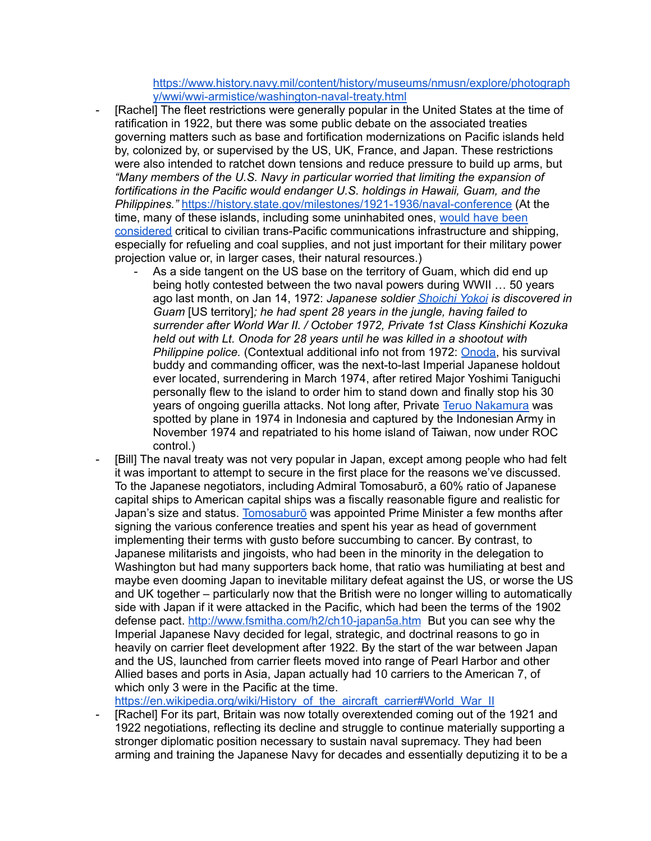[https://www.history.navy.mil/content/history/museums/nmusn/explore/photograph](https://www.history.navy.mil/content/history/museums/nmusn/explore/photography/wwi/wwi-armistice/washington-naval-treaty.html) [y/wwi/wwi-armistice/washington-naval-treaty.html](https://www.history.navy.mil/content/history/museums/nmusn/explore/photography/wwi/wwi-armistice/washington-naval-treaty.html)

- [Rachel] The fleet restrictions were generally popular in the United States at the time of ratification in 1922, but there was some public debate on the associated treaties governing matters such as base and fortification modernizations on Pacific islands held by, colonized by, or supervised by the US, UK, France, and Japan. These restrictions were also intended to ratchet down tensions and reduce pressure to build up arms, but *"Many members of the U.S. Navy in particular worried that limiting the expansion of fortifications in the Pacific would endanger U.S. holdings in Hawaii, Guam, and the Philippines."* <https://history.state.gov/milestones/1921-1936/naval-conference> (At the time, many of these islands, including some uninhabited ones, [would](http://www.fsmitha.com/h2/ch10-japan5a.htm) have been [considered](http://www.fsmitha.com/h2/ch10-japan5a.htm) critical to civilian trans-Pacific communications infrastructure and shipping, especially for refueling and coal supplies, and not just important for their military power projection value or, in larger cases, their natural resources.)
	- As a side tangent on the US base on the territory of Guam, which did end up being hotly contested between the two naval powers during WWII … 50 years ago last month, on Jan 14, 1972: *Japanese soldier [Shoichi](https://en.wikipedia.org/wiki/Shoichi_Yokoi) Yokoi is discovered in Guam* [US territory]*; he had spent 28 years in the jungle, having failed to surrender after World War II. / October 1972, Private 1st Class Kinshichi Kozuka held out with Lt. Onoda for 28 years until he was killed in a shootout with Philippine police.* (Contextual additional info not from 1972: [Onoda,](https://en.wikipedia.org/wiki/Hiroo_Onoda) his survival buddy and commanding officer, was the next-to-last Imperial Japanese holdout ever located, surrendering in March 1974, after retired Major Yoshimi Taniguchi personally flew to the island to order him to stand down and finally stop his 30 years of ongoing guerilla attacks. Not long after, Private Teruo [Nakamura](https://en.wikipedia.org/wiki/Teruo_Nakamura) was spotted by plane in 1974 in Indonesia and captured by the Indonesian Army in November 1974 and repatriated to his home island of Taiwan, now under ROC control.)
- [Bill] The naval treaty was not very popular in Japan, except among people who had felt it was important to attempt to secure in the first place for the reasons we've discussed. To the Japanese negotiators, including Admiral Tomosaburō, a 60% ratio of Japanese capital ships to American capital ships was a fiscally reasonable figure and realistic for Japan's size and status. [Tomosaburō](https://en.wikipedia.org/wiki/Kat%C5%8D_Tomosabur%C5%8D) was appointed Prime Minister a few months after signing the various conference treaties and spent his year as head of government implementing their terms with gusto before succumbing to cancer. By contrast, to Japanese militarists and jingoists, who had been in the minority in the delegation to Washington but had many supporters back home, that ratio was humiliating at best and maybe even dooming Japan to inevitable military defeat against the US, or worse the US and UK together – particularly now that the British were no longer willing to automatically side with Japan if it were attacked in the Pacific, which had been the terms of the 1902 defense pact. <http://www.fsmitha.com/h2/ch10-japan5a.htm> But you can see why the Imperial Japanese Navy decided for legal, strategic, and doctrinal reasons to go in heavily on carrier fleet development after 1922. By the start of the war between Japan and the US, launched from carrier fleets moved into range of Pearl Harbor and other Allied bases and ports in Asia, Japan actually had 10 carriers to the American 7, of which only 3 were in the Pacific at the time.

[https://en.wikipedia.org/wiki/History\\_of\\_the\\_aircraft\\_carrier#World\\_War\\_II](https://en.wikipedia.org/wiki/History_of_the_aircraft_carrier#World_War_II)

[Rachel] For its part, Britain was now totally overextended coming out of the 1921 and 1922 negotiations, reflecting its decline and struggle to continue materially supporting a stronger diplomatic position necessary to sustain naval supremacy. They had been arming and training the Japanese Navy for decades and essentially deputizing it to be a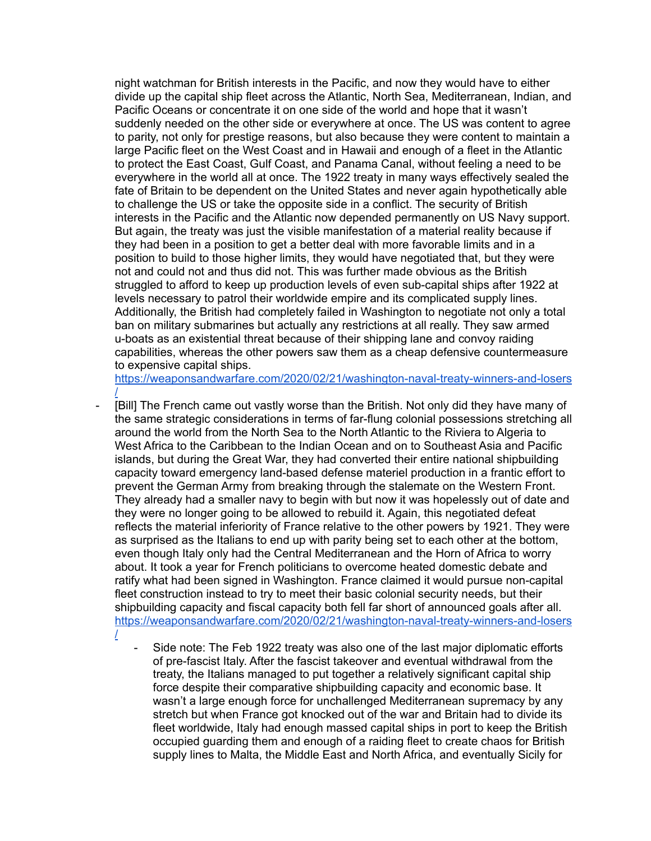night watchman for British interests in the Pacific, and now they would have to either divide up the capital ship fleet across the Atlantic, North Sea, Mediterranean, Indian, and Pacific Oceans or concentrate it on one side of the world and hope that it wasn't suddenly needed on the other side or everywhere at once. The US was content to agree to parity, not only for prestige reasons, but also because they were content to maintain a large Pacific fleet on the West Coast and in Hawaii and enough of a fleet in the Atlantic to protect the East Coast, Gulf Coast, and Panama Canal, without feeling a need to be everywhere in the world all at once. The 1922 treaty in many ways effectively sealed the fate of Britain to be dependent on the United States and never again hypothetically able to challenge the US or take the opposite side in a conflict. The security of British interests in the Pacific and the Atlantic now depended permanently on US Navy support. But again, the treaty was just the visible manifestation of a material reality because if they had been in a position to get a better deal with more favorable limits and in a position to build to those higher limits, they would have negotiated that, but they were not and could not and thus did not. This was further made obvious as the British struggled to afford to keep up production levels of even sub-capital ships after 1922 at levels necessary to patrol their worldwide empire and its complicated supply lines. Additionally, the British had completely failed in Washington to negotiate not only a total ban on military submarines but actually any restrictions at all really. They saw armed u-boats as an existential threat because of their shipping lane and convoy raiding capabilities, whereas the other powers saw them as a cheap defensive countermeasure to expensive capital ships.

[https://weaponsandwarfare.com/2020/02/21/washington-naval-treaty-winners-and-losers](https://weaponsandwarfare.com/2020/02/21/washington-naval-treaty-winners-and-losers/) [/](https://weaponsandwarfare.com/2020/02/21/washington-naval-treaty-winners-and-losers/)

- [Bill] The French came out vastly worse than the British. Not only did they have many of the same strategic considerations in terms of far-flung colonial possessions stretching all around the world from the North Sea to the North Atlantic to the Riviera to Algeria to West Africa to the Caribbean to the Indian Ocean and on to Southeast Asia and Pacific islands, but during the Great War, they had converted their entire national shipbuilding capacity toward emergency land-based defense materiel production in a frantic effort to prevent the German Army from breaking through the stalemate on the Western Front. They already had a smaller navy to begin with but now it was hopelessly out of date and they were no longer going to be allowed to rebuild it. Again, this negotiated defeat reflects the material inferiority of France relative to the other powers by 1921. They were as surprised as the Italians to end up with parity being set to each other at the bottom, even though Italy only had the Central Mediterranean and the Horn of Africa to worry about. It took a year for French politicians to overcome heated domestic debate and ratify what had been signed in Washington. France claimed it would pursue non-capital fleet construction instead to try to meet their basic colonial security needs, but their shipbuilding capacity and fiscal capacity both fell far short of announced goals after all. [https://weaponsandwarfare.com/2020/02/21/washington-naval-treaty-winners-and-losers](https://weaponsandwarfare.com/2020/02/21/washington-naval-treaty-winners-and-losers/) [/](https://weaponsandwarfare.com/2020/02/21/washington-naval-treaty-winners-and-losers/)
	- Side note: The Feb 1922 treaty was also one of the last major diplomatic efforts of pre-fascist Italy. After the fascist takeover and eventual withdrawal from the treaty, the Italians managed to put together a relatively significant capital ship force despite their comparative shipbuilding capacity and economic base. It wasn't a large enough force for unchallenged Mediterranean supremacy by any stretch but when France got knocked out of the war and Britain had to divide its fleet worldwide, Italy had enough massed capital ships in port to keep the British occupied guarding them and enough of a raiding fleet to create chaos for British supply lines to Malta, the Middle East and North Africa, and eventually Sicily for